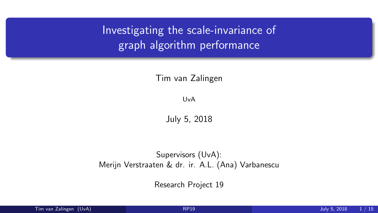<span id="page-0-0"></span>Investigating the scale-invariance of graph algorithm performance

Tim van Zalingen

UvA

July 5, 2018

Supervisors (UvA): Merijn Verstraaten & dr. ir. A.L. (Ana) Varbanescu

Research Project 19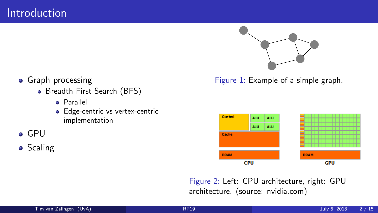

**•** Graph processing

- Breadth First Search (BFS)
	- Parallel
	- Edge-centric vs vertex-centric implementation
- GPU
- **o** Scaling

Figure 1: Example of a simple graph.



Figure 2: Left: CPU architecture, right: GPU architecture. (source: nvidia.com)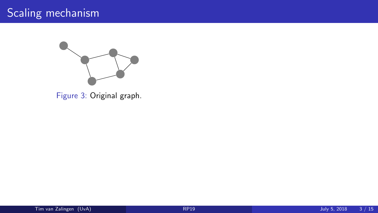# Scaling mechanism



<span id="page-2-1"></span><span id="page-2-0"></span>Figure 3: Original graph.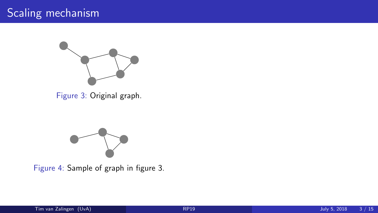# Scaling mechanism



Figure 3: Original graph.



Figure 4: Sample of graph in figure [3.](#page-2-0)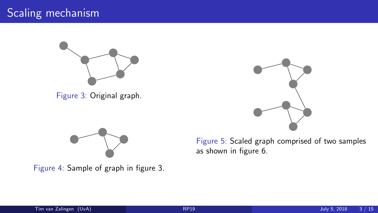# Scaling mechanism



Figure 3: Original graph.



Figure 4: Sample of graph in figure [3.](#page-2-0)



Figure 5: Scaled graph comprised of two samples as shown in figure [6.](#page-2-1)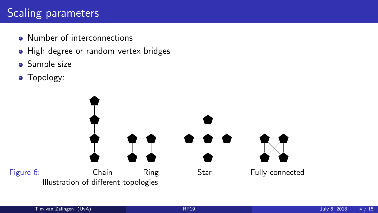# Scaling parameters

- **Q** Number of interconnections
- High degree or random vertex bridges
- **•** Sample size
- Topology:

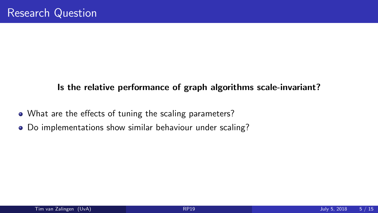#### Is the relative performance of graph algorithms scale-invariant?

- What are the effects of tuning the scaling parameters?
- Do implementations show similar behaviour under scaling?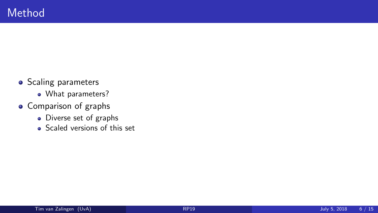- Scaling parameters
	- What parameters?
- Comparison of graphs
	- Diverse set of graphs
	- Scaled versions of this set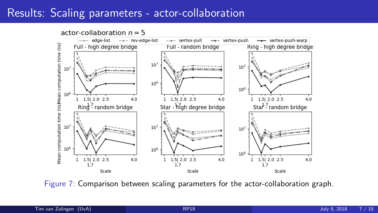### Results: Scaling parameters - actor-collaboration

actor-collaboration  $n = 5$  $\rightarrow$  edge-list  $-$  rev-edge-list ..... vertex-pull - vertex-push - vertex-push-warp Mean computation time (ns)Mean computation time (ns) Full - high degree bridge Full - random bridge Ring - high degree bridge  $10<sup>7</sup>$  $10<sup>7</sup>$  $10^{\circ}$  $10<sup>6</sup>$  $10<sup>6</sup>$  $10^{6}$  $1.5$ | 2.0  $2.5$  $4.0$  $1$  1.5 2.0 2.5  $1$  1.5 2.0 2.5  $\overline{4}$  n  $\mathbf{1}$  $4.0$ Star<sup>1.7</sup> random bridge  $\text{Rind}^2$  random bridge Star - high degree bridge  $10^{\circ}$  $10<sup>7</sup>$  $10<sup>7</sup>$ Bass  $10<sup>6</sup>$  $10<sup>6</sup>$  $10<sup>6</sup>$  $1.5$ | 2.0 2.5  $4.0$  $1.5$ | 2.0 2.5  $1.5$ | 2.0 2.5  $\mathbf{1}$  $\mathbf{1}$  $4.0$  $4.0$  $1.7$  $1.7$  $1.7$ Scale Scale Scale

Figure 7: Comparison between scaling parameters for the actor-collaboration graph.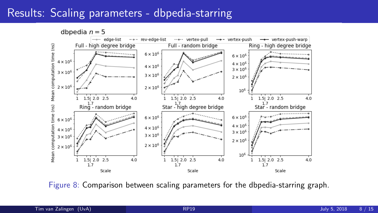### Results: Scaling parameters - dbpedia-starring

dbpedia  $n = 5$ 



Figure 8: Comparison between scaling parameters for the dbpedia-starring graph.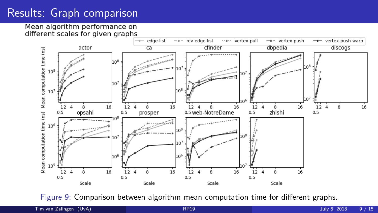# Results: Graph comparison

Mean algorithm performance on different scales for given graphs



Figure 9: Comparison between algorithm mean computation time for different graphs.

Tim van Zalingen (UvA) [RP19](#page-0-0) July 5, 2018 9 / 15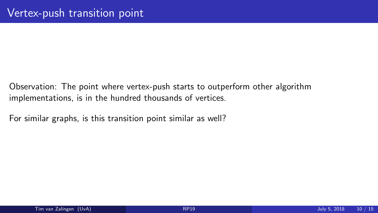Observation: The point where vertex-push starts to outperform other algorithm implementations, is in the hundred thousands of vertices.

For similar graphs, is this transition point similar as well?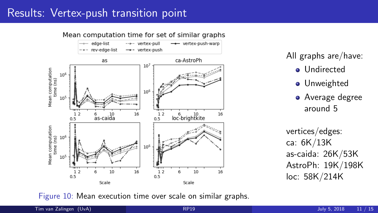# Results: Vertex-push transition point



All graphs are/have:

- **o** Undirected
- **•** Unweighted
- **•** Average degree around 5

vertices/edges: ca: 6K/13K as-caida: 26K/53K AstroPh: 19K/198K loc: 58K/214K

Figure 10: Mean execution time over scale on similar graphs.

Tim van Zalingen (UvA) [RP19](#page-0-0) July 5, 2018 11 / 15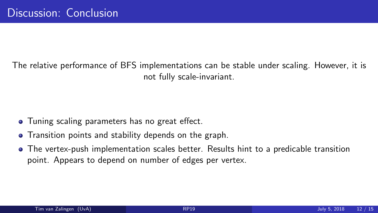The relative performance of BFS implementations can be stable under scaling. However, it is not fully scale-invariant.

- Tuning scaling parameters has no great effect.
- Transition points and stability depends on the graph.
- The vertex-push implementation scales better. Results hint to a predicable transition point. Appears to depend on number of edges per vertex.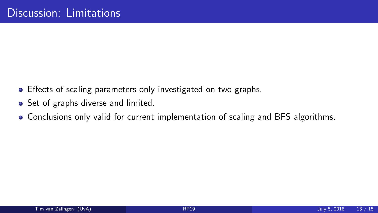- **•** Effects of scaling parameters only investigated on two graphs.
- Set of graphs diverse and limited.
- Conclusions only valid for current implementation of scaling and BFS algorithms.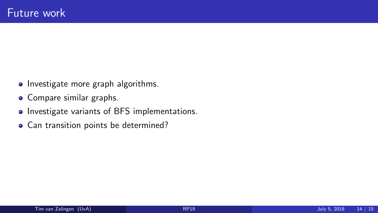- Investigate more graph algorithms.
- Compare similar graphs.
- Investigate variants of BFS implementations.
- Can transition points be determined?